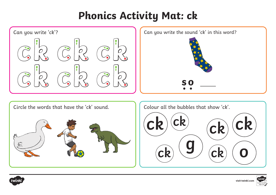# **Phonics Activity Mat: ck**



Circle the words that have the 'ck' sound.  $\Box$  Colour all the bubbles that show 'ck'.









**[visit twinkl.com](https://www.twinkl.co.uk/resources/home-early-years/early-years-communication-and-language-and-literacy)**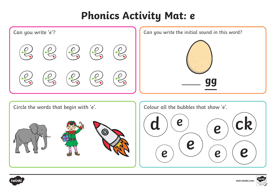### **Phonics Activity Mat: e**









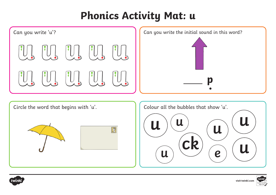### **Phonics Activity Mat: u**





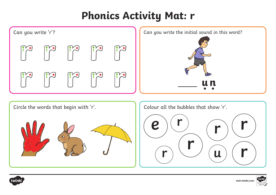# **Phonics Activity Mat: r**